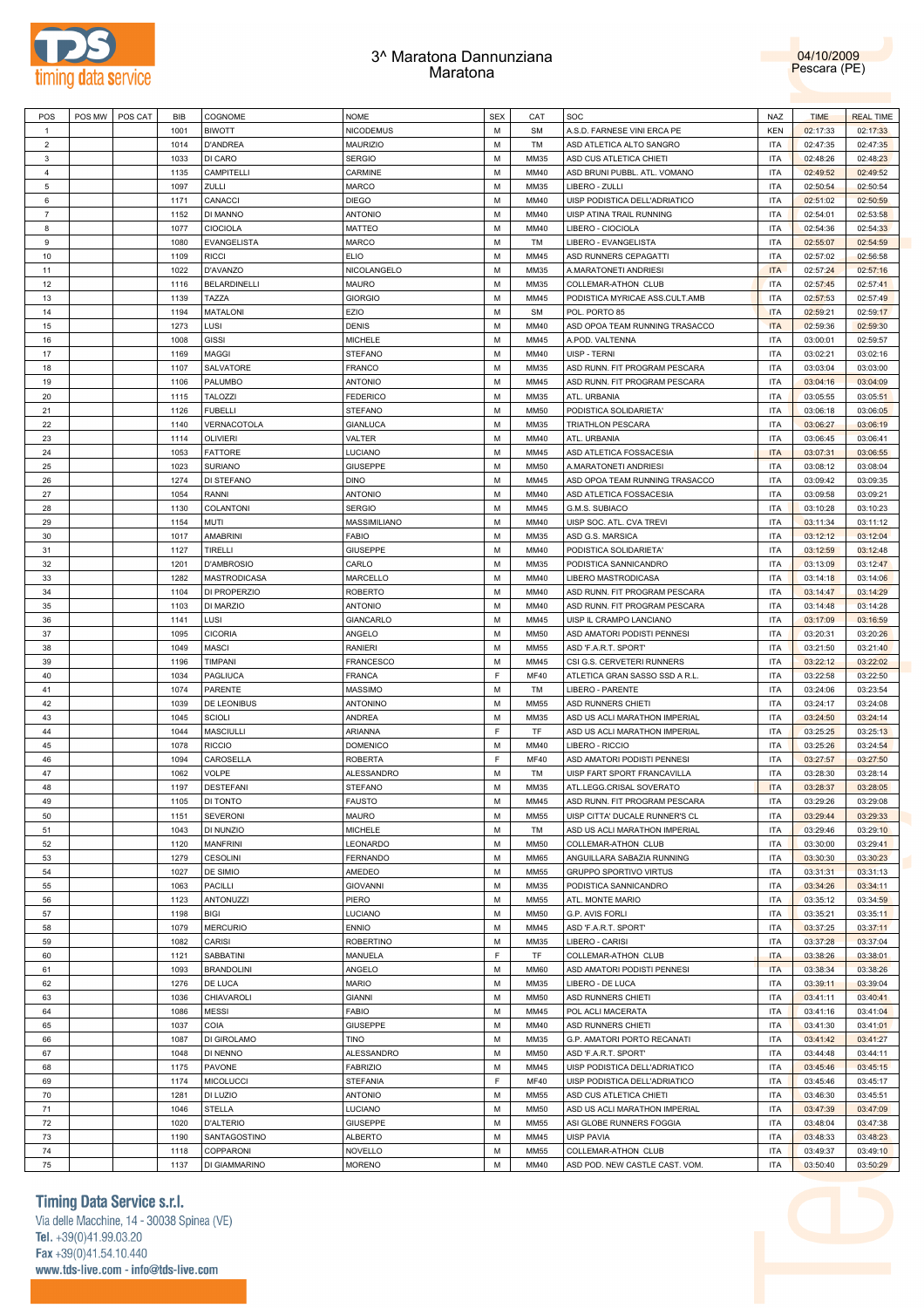

## 3^ Maratona Dannunziana Maratona



| POS            | POS MW | POS CAT | <b>BIB</b> | COGNOME             | <b>NOME</b>                       | <b>SEX</b> | CAT         | SOC                            | <b>NAZ</b> | <b>TIME</b> | <b>REAL TIME</b> |
|----------------|--------|---------|------------|---------------------|-----------------------------------|------------|-------------|--------------------------------|------------|-------------|------------------|
| $\mathbf{1}$   |        |         | 1001       | <b>BIWOTT</b>       | <b>NICODEMUS</b>                  | M          | <b>SM</b>   | A.S.D. FARNESE VINI ERCA PE    | <b>KEN</b> | 02:17:33    | 02:17:33         |
| $\overline{2}$ |        |         | 1014       | <b>D'ANDREA</b>     | <b>MAURIZIO</b>                   | M          | TM          | ASD ATLETICA ALTO SANGRO       | <b>ITA</b> | 02:47:35    | 02:47:35         |
| 3              |        |         | 1033       | DI CARO             | <b>SERGIO</b>                     | M          | <b>MM35</b> | ASD CUS ATLETICA CHIETI        | <b>ITA</b> | 02:48:26    | 02:48:23         |
| $\overline{4}$ |        |         | 1135       | CAMPITELLI          | CARMINE                           | M          | <b>MM40</b> | ASD BRUNI PUBBL. ATL. VOMANO   | <b>ITA</b> | 02:49:52    | 02:49:52         |
| 5              |        |         | 1097       | ZULLI               | <b>MARCO</b>                      | M          | <b>MM35</b> | LIBERO - ZULLI                 | <b>ITA</b> | 02:50:54    | 02:50:54         |
| 6              |        |         | 1171       | CANACCI             | <b>DIEGO</b>                      | M          | <b>MM40</b> | UISP PODISTICA DELL'ADRIATICO  | <b>ITA</b> | 02:51:02    | 02:50:59         |
| $\overline{7}$ |        |         | 1152       | DI MANNO            | <b>ANTONIO</b>                    | M          | <b>MM40</b> | UISP ATINA TRAIL RUNNING       | <b>ITA</b> | 02:54:01    | 02:53:58         |
| 8              |        |         | 1077       | <b>CIOCIOLA</b>     | <b>MATTEO</b>                     | M          | <b>MM40</b> | LIBERO - CIOCIOLA              | <b>ITA</b> | 02:54:36    | 02:54:33         |
| 9              |        |         | 1080       | EVANGELISTA         | <b>MARCO</b>                      | M          | TM          | LIBERO - EVANGELISTA           | <b>ITA</b> | 02:55:07    | 02:54:59         |
| 10             |        |         | 1109       | <b>RICCI</b>        | <b>ELIO</b>                       | M          | <b>MM45</b> | ASD RUNNERS CEPAGATTI          | <b>ITA</b> | 02:57:02    | 02:56:58         |
| 11             |        |         | 1022       | D'AVANZO            | NICOLANGELO                       | M          | MM35        | A.MARATONETI ANDRIESI          | <b>ITA</b> | 02:57:24    | 02:57:16         |
| 12             |        |         | 1116       | <b>BELARDINELLI</b> | <b>MAURO</b>                      | M          | MM35        | COLLEMAR-ATHON CLUB            | <b>ITA</b> | 02:57:45    | 02:57:41         |
| 13             |        |         | 1139       | TAZZA               | <b>GIORGIO</b>                    | M          | MM45        | PODISTICA MYRICAE ASS.CULT.AMB | <b>ITA</b> | 02:57:53    | 02:57:49         |
| 14             |        |         | 1194       | <b>MATALONI</b>     | EZIO                              | M          | <b>SM</b>   | POL. PORTO 85                  | <b>ITA</b> | 02:59:21    | 02:59:17         |
| 15             |        |         | 1273       | LUSI                | <b>DENIS</b>                      | M          | <b>MM40</b> | ASD OPOA TEAM RUNNING TRASACCO | <b>ITA</b> | 02:59:36    | 02:59:30         |
| 16             |        |         | 1008       | <b>GISSI</b>        |                                   | M          | <b>MM45</b> |                                | <b>ITA</b> |             |                  |
|                |        |         |            |                     | <b>MICHELE</b>                    |            |             | A.POD. VALTENNA                |            | 03:00:01    | 02:59:57         |
| 17             |        |         | 1169       | <b>MAGGI</b>        | <b>STEFANO</b>                    | M          | <b>MM40</b> | UISP - TERNI                   | <b>ITA</b> | 03:02:21    | 03:02:16         |
| 18             |        |         | 1107       | SALVATORE           | <b>FRANCO</b>                     | M          | MM35        | ASD RUNN. FIT PROGRAM PESCARA  | <b>ITA</b> | 03:03:04    | 03:03:00         |
| 19             |        |         | 1106       | PALUMBO             | <b>ANTONIO</b>                    | M          | MM45        | ASD RUNN. FIT PROGRAM PESCARA  | <b>ITA</b> | 03:04:16    | 03:04:09         |
| 20             |        |         | 1115       | <b>TALOZZI</b>      | <b>FEDERICO</b>                   | M          | MM35        | ATL. URBANIA                   | <b>ITA</b> | 03:05:55    | 03:05:51         |
| 21             |        |         | 1126       | <b>FUBELLI</b>      | <b>STEFANO</b>                    | M          | <b>MM50</b> | PODISTICA SOLIDARIETA'         | <b>ITA</b> | 03:06:18    | 03:06:05         |
| 22             |        |         | 1140       | VERNACOTOLA         | <b>GIANLUCA</b>                   | M          | <b>MM35</b> | TRIATHLON PESCARA              | <b>ITA</b> | 03:06:27    | 03:06:19         |
| 23             |        |         | 1114       | <b>OLIVIERI</b>     | VALTER                            | M          | <b>MM40</b> | ATL. URBANIA                   | <b>ITA</b> | 03:06:45    | 03:06:41         |
| 24             |        |         | 1053       | <b>FATTORE</b>      | LUCIANO                           | M          | <b>MM45</b> | ASD ATLETICA FOSSACESIA        | <b>ITA</b> | 03:07:31    | 03:06:55         |
| 25             |        |         | 1023       | <b>SURIANO</b>      | <b>GIUSEPPE</b>                   | M          | <b>MM50</b> | A.MARATONETI ANDRIESI          | <b>ITA</b> | 03:08:12    | 03:08:04         |
| 26             |        |         | 1274       | DI STEFANO          | <b>DINO</b>                       | M          | <b>MM45</b> | ASD OPOA TEAM RUNNING TRASACCO | <b>ITA</b> | 03:09:42    | 03:09:35         |
| 27             |        |         | 1054       | <b>RANNI</b>        | <b>ANTONIO</b>                    | M          | <b>MM40</b> | ASD ATLETICA FOSSACESIA        | <b>ITA</b> | 03:09:58    | 03:09:21         |
| 28             |        |         | 1130       | COLANTONI           | <b>SERGIO</b>                     | M          | <b>MM45</b> | G.M.S. SUBIACO                 | <b>ITA</b> | 03:10:28    | 03:10:23         |
| 29             |        |         | 1154       | <b>MUTI</b>         | MASSIMILIANO                      | M          | <b>MM40</b> | UISP SOC. ATL. CVA TREVI       | <b>ITA</b> | 03:11:34    | 03:11:12         |
| 30             |        |         | 1017       | <b>AMABRINI</b>     | <b>FABIO</b>                      | M          | <b>MM35</b> | ASD G.S. MARSICA               | <b>ITA</b> | 03:12:12    | 03:12:04         |
| 31             |        |         | 1127       | TIRELLI             | <b>GIUSEPPE</b>                   | M          | <b>MM40</b> | PODISTICA SOLIDARIETA'         | <b>ITA</b> | 03:12:59    | 03:12:48         |
| 32             |        |         | 1201       | <b>D'AMBROSIO</b>   | CARLO                             | M          | <b>MM35</b> | PODISTICA SANNICANDRO          | <b>ITA</b> | 03:13:09    | 03:12:47         |
| 33             |        |         | 1282       | <b>MASTRODICASA</b> | MARCELLO                          | M          | <b>MM40</b> | LIBERO MASTRODICASA            | <b>ITA</b> | 03:14:18    | 03:14:06         |
| 34             |        |         | 1104       | DI PROPERZIO        | <b>ROBERTO</b>                    | M          | <b>MM40</b> | ASD RUNN. FIT PROGRAM PESCARA  | <b>ITA</b> | 03:14:47    | 03:14:29         |
| 35             |        |         | 1103       | DI MARZIO           | <b>ANTONIO</b>                    | M          | <b>MM40</b> | ASD RUNN. FIT PROGRAM PESCARA  | <b>ITA</b> | 03:14:48    | 03:14:28         |
| 36             |        |         | 1141       | LUSI                | GIANCARLO                         | M          | <b>MM45</b> | UISP IL CRAMPO LANCIANO        | <b>ITA</b> | 03:17:09    | 03:16:59         |
| 37             |        |         | 1095       | <b>CICORIA</b>      | ANGELO                            | M          | <b>MM50</b> | ASD AMATORI PODISTI PENNESI    | <b>ITA</b> | 03:20:31    | 03:20:26         |
| 38             |        |         | 1049       | <b>MASCI</b>        | <b>RANIERI</b>                    | M          | MM55        | ASD 'F.A.R.T. SPORT'           | <b>ITA</b> | 03:21:50    | 03:21:40         |
| 39             |        |         | 1196       | TIMPANI             | <b>FRANCESCO</b>                  | M          | MM45        | CSI G.S. CERVETERI RUNNERS     | <b>ITA</b> | 03:22:12    | 03:22:02         |
| 40             |        |         | 1034       | PAGLIUCA            | <b>FRANCA</b>                     | F          | MF40        | ATLETICA GRAN SASSO SSD A R.L. | <b>ITA</b> | 03:22:58    | 03:22:50         |
| 41             |        |         | 1074       | PARENTE             | <b>MASSIMO</b>                    | M          | TM          | LIBERO - PARENTE               | <b>ITA</b> | 03:24:06    | 03:23:54         |
| 42             |        |         | 1039       | DE LEONIBUS         | <b>ANTONINO</b>                   | M          | <b>MM55</b> | ASD RUNNERS CHIETI             | <b>ITA</b> | 03:24:17    | 03:24:08         |
| 43             |        |         | 1045       | <b>SCIOLI</b>       | ANDREA                            | M          | MM35        | ASD US ACLI MARATHON IMPERIAL  | <b>ITA</b> | 03:24:50    | 03:24:14         |
| 44             |        |         | 1044       | <b>MASCIULLI</b>    | ARIANNA                           | F          | TF          | ASD US ACLI MARATHON IMPERIAL  | <b>ITA</b> | 03:25:25    | 03:25:13         |
| 45             |        |         | 1078       | <b>RICCIO</b>       |                                   | M          | <b>MM40</b> | LIBERO - RICCIO                | <b>ITA</b> |             |                  |
|                |        |         |            |                     | <b>DOMENICO</b><br><b>ROBERTA</b> | F          |             |                                |            | 03:25:26    | 03:24:54         |
| 46             |        |         | 1094       | CAROSELLA           |                                   |            | MF40        | ASD AMATORI PODISTI PENNESI    | <b>ITA</b> | 03:27:57    | 03:27:50         |
| 47             |        |         | 1062       | VOLPE               | ALESSANDRO                        | M          | <b>TM</b>   | UISP FART SPORT FRANCAVILLA    | <b>ITA</b> | 03:28:30    | 03:28:14         |
| 48             |        |         | 1197       | <b>DESTEFANI</b>    | <b>STEFANO</b>                    | M          | MM35        | ATL.LEGG.CRISAL SOVERATO       | <b>ITA</b> | 03:28:37    | 03:28:05         |
| 49             |        |         | 1105       | <b>DI TONTO</b>     | <b>FAUSTO</b>                     | M          | MM45        | ASD RUNN. FIT PROGRAM PESCARA  | <b>ITA</b> | 03:29:26    | 03:29:08         |
| 50             |        |         | 1151       | <b>SEVERONI</b>     | <b>MAURO</b>                      | M          | <b>MM55</b> | UISP CITTA' DUCALE RUNNER'S CL | <b>ITA</b> | 03:29:44    | 03:29:33         |
| 51             |        |         | 1043       | DI NUNZIO           | <b>MICHELE</b>                    | M          | TM          | ASD US ACLI MARATHON IMPERIAL  | <b>ITA</b> | 03:29:46    | 03:29:10         |
| 52             |        |         | 1120       | <b>MANFRINI</b>     | LEONARDO                          | M          | <b>MM50</b> | COLLEMAR-ATHON CLUB            | <b>ITA</b> | 03:30:00    | 03:29:41         |
| 53             |        |         | 1279       | <b>CESOLINI</b>     | <b>FERNANDO</b>                   | M          | MM65        | ANGUILLARA SABAZIA RUNNING     | <b>ITA</b> | 03:30:30    | 03:30:23         |
| 54             |        |         | 1027       | DE SIMIO            | AMEDEO                            | M          | <b>MM55</b> | GRUPPO SPORTIVO VIRTUS         | <b>ITA</b> | 03:31:31    | 03:31:13         |
| 55             |        |         | 1063       | PACILLI             | <b>GIOVANNI</b>                   | M          | MM35        | PODISTICA SANNICANDRO          | <b>ITA</b> | 03:34:26    | 03:34:11         |
| 56             |        |         | 1123       | ANTONUZZI           | PIERO                             | M          | <b>MM55</b> | ATL. MONTE MARIO               | <b>ITA</b> | 03:35:12    | 03:34:59         |
| 57             |        |         | 1198       | <b>BIGI</b>         | LUCIANO                           | M          | <b>MM50</b> | G.P. AVIS FORLI                | <b>ITA</b> | 03:35:21    | 03:35:11         |
| 58             |        |         | 1079       | <b>MERCURIO</b>     | <b>ENNIO</b>                      | M          | MM45        | ASD 'F.A.R.T. SPORT'           | <b>ITA</b> | 03:37:25    | 03:37:11         |
| 59             |        |         | 1082       | <b>CARISI</b>       | <b>ROBERTINO</b>                  | M          | MM35        | LIBERO - CARISI                | <b>ITA</b> | 03:37:28    | 03:37:04         |
| 60             |        |         | 1121       | SABBATINI           | MANUELA                           | F          | TF          | COLLEMAR-ATHON CLUB            | <b>ITA</b> | 03:38:26    | 03:38:01         |
| 61             |        |         | 1093       | <b>BRANDOLINI</b>   | ANGELO                            | M          | <b>MM60</b> | ASD AMATORI PODISTI PENNESI    | <b>ITA</b> | 03:38:34    | 03:38:26         |
| 62             |        |         | 1276       | DE LUCA             | <b>MARIO</b>                      | M          | MM35        | LIBERO - DE LUCA               | <b>ITA</b> | 03:39:11    | 03:39:04         |
| 63             |        |         | 1036       | CHIAVAROLI          | <b>GIANNI</b>                     | M          | <b>MM50</b> | ASD RUNNERS CHIETI             | <b>ITA</b> | 03:41:11    | 03:40:41         |
| 64             |        |         | 1086       | <b>MESSI</b>        | <b>FABIO</b>                      | M          | MM45        | POL ACLI MACERATA              | <b>ITA</b> | 03:41:16    | 03:41:04         |
| 65             |        |         | 1037       | COIA                | <b>GIUSEPPE</b>                   | M          | MM40        | ASD RUNNERS CHIETI             | <b>ITA</b> | 03:41:30    | 03:41:01         |
| 66             |        |         | 1087       | DI GIROLAMO         | <b>TINO</b>                       | M          | MM35        | G.P. AMATORI PORTO RECANATI    | <b>ITA</b> | 03:41:42    | 03:41:27         |
| 67             |        |         | 1048       | DI NENNO            | ALESSANDRO                        | M          | <b>MM50</b> | ASD 'F.A.R.T. SPORT'           | <b>ITA</b> | 03:44:48    | 03:44:11         |
| 68             |        |         | 1175       | PAVONE              | <b>FABRIZIO</b>                   | M          | MM45        | UISP PODISTICA DELL'ADRIATICO  | <b>ITA</b> | 03:45:46    | 03:45:15         |
|                |        |         |            |                     |                                   | F          |             |                                |            |             |                  |
| 69             |        |         | 1174       | <b>MICOLUCCI</b>    | <b>STEFANIA</b>                   |            | MF40        | UISP PODISTICA DELL'ADRIATICO  | <b>ITA</b> | 03:45:46    | 03:45:17         |
| 70             |        |         | 1281       | DI LUZIO            | <b>ANTONIO</b>                    | M          | <b>MM55</b> | ASD CUS ATLETICA CHIETI        | <b>ITA</b> | 03:46:30    | 03:45:51         |
| 71             |        |         | 1046       | <b>STELLA</b>       | LUCIANO                           | M          | <b>MM50</b> | ASD US ACLI MARATHON IMPERIAL  | <b>ITA</b> | 03:47:39    | 03:47:09         |
| 72             |        |         | 1020       | <b>D'ALTERIO</b>    | <b>GIUSEPPE</b>                   | M          | <b>MM55</b> | ASI GLOBE RUNNERS FOGGIA       | <b>ITA</b> | 03:48:04    | 03:47:38         |
| 73             |        |         | 1190       | SANTAGOSTINO        | <b>ALBERTO</b>                    | M          | MM45        | <b>UISP PAVIA</b>              | <b>ITA</b> | 03:48:33    | 03:48:23         |
| 74             |        |         | 1118       | COPPARONI           | <b>NOVELLO</b>                    | M          | <b>MM55</b> | COLLEMAR-ATHON CLUB            | <b>ITA</b> | 03:49:37    | 03:49:10         |
| 75             |        |         | 1137       | DI GIAMMARINO       | <b>MORENO</b>                     | M          | MM40        | ASD POD. NEW CASTLE CAST. VOM. | <b>ITA</b> | 03:50:40    | 03:50:29         |

## **Timing Data Service s.r.l.**

Via delle Macchine, 14 - 30038 Spinea (VE) Tel. +39(0)41.99.03.20 Fax +39(0)41.54.10.440 www.tds-live.com - info@tds-live.com